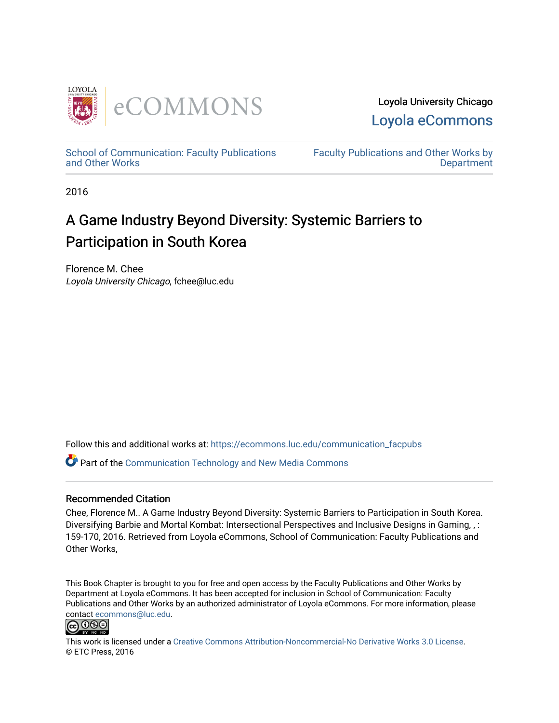

Loyola University Chicago [Loyola eCommons](https://ecommons.luc.edu/) 

[School of Communication: Faculty Publications](https://ecommons.luc.edu/communication_facpubs)  [and Other Works](https://ecommons.luc.edu/communication_facpubs)

[Faculty Publications and Other Works by](https://ecommons.luc.edu/faculty)  **Department** 

2016

# A Game Industry Beyond Diversity: Systemic Barriers to Participation in South Korea

Florence M. Chee Loyola University Chicago, fchee@luc.edu

Follow this and additional works at: [https://ecommons.luc.edu/communication\\_facpubs](https://ecommons.luc.edu/communication_facpubs?utm_source=ecommons.luc.edu%2Fcommunication_facpubs%2F18&utm_medium=PDF&utm_campaign=PDFCoverPages)

**P** Part of the Communication Technology and New Media Commons

#### Recommended Citation

Chee, Florence M.. A Game Industry Beyond Diversity: Systemic Barriers to Participation in South Korea. Diversifying Barbie and Mortal Kombat: Intersectional Perspectives and Inclusive Designs in Gaming, , : 159-170, 2016. Retrieved from Loyola eCommons, School of Communication: Faculty Publications and Other Works,

This Book Chapter is brought to you for free and open access by the Faculty Publications and Other Works by Department at Loyola eCommons. It has been accepted for inclusion in School of Communication: Faculty Publications and Other Works by an authorized administrator of Loyola eCommons. For more information, please contact [ecommons@luc.edu.](mailto:ecommons@luc.edu)



This work is licensed under a [Creative Commons Attribution-Noncommercial-No Derivative Works 3.0 License.](https://creativecommons.org/licenses/by-nc-nd/3.0/) © ETC Press, 2016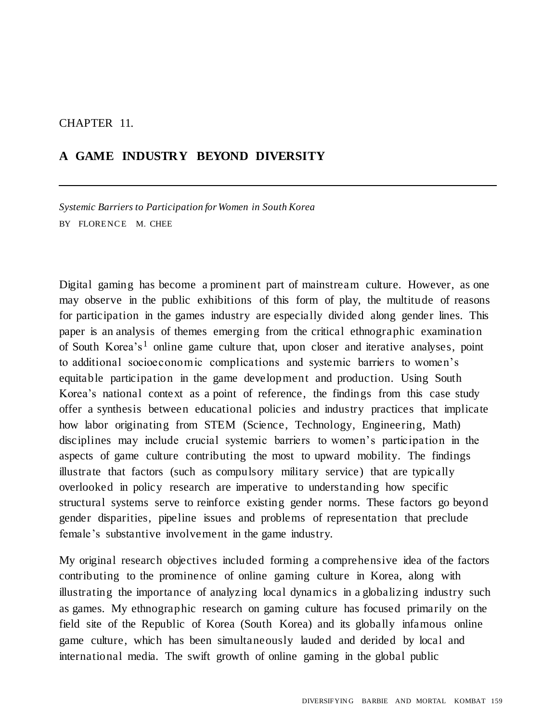#### CHAPTER 11.

## **A GAME INDUSTRY BEYOND DIVERSITY**

*Systemic Barriers to Participation for Women in South Korea* BY FLORENCE M. CHEE

Digital gaming has become a prominent part of mainstream culture. However, as one may observe in the public exhibitions of this form of play, the multitude of reasons for participation in the games industry are especially divided along gender lines. This paper is an analysis of themes emerging from the critical ethnographic examination of South Korea's<sup>1</sup> online game culture that, upon closer and iterative analyses, point to additional socioeconomic complications and systemic barriers to women's equitable participation in the game development and production. Using South Korea's national context as a point of reference, the findings from this case study offer a synthesis between educational policies and industry practices that implicate how labor originating from STEM (Science, Technology, Engineering, Math) disciplines may include crucial systemic barriers to women's participation in the aspects of game culture contributing the most to upward mobility. The findings illustrate that factors (such as compulsory military service) that are typically overlooked in policy research are imperative to understanding how specific structural systems serve to reinforce existing gender norms. These factors go beyond gender disparities, pipeline issues and problems of representation that preclude female's substantive involvement in the game industry.

My original research objectives included forming a comprehensive idea of the factors contributing to the prominence of online gaming culture in Korea, along with illustrating the importance of analyzing local dynamics in a globalizing industry such as games. My ethnographic research on gaming culture has focused primarily on the field site of the Republic of Korea (South Korea) and its globally infamous online game culture, which has been simultaneously lauded and derided by local and international media. The swift growth of online gaming in the global public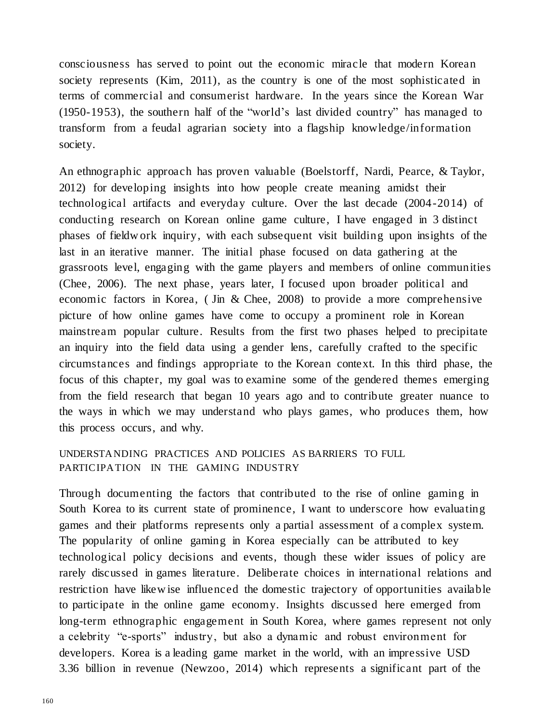consciousness has served to point out the economic miracle that modern Korean society represents (Kim, 2011), as the country is one of the most sophisticated in terms of commercial and consumerist hardware. In the years since the Korean War (1950-1953), the southern half of the "world's last divided country" has managed to transform from a feudal agrarian society into a flagship knowledge/information society.

An ethnographic approach has proven valuable (Boelstorff, Nardi, Pearce, & Taylor, 2012) for developing insights into how people create meaning amidst their technological artifacts and everyday culture. Over the last decade (2004-2014) of conducting research on Korean online game culture, I have engaged in 3 distinct phases of fieldw ork inquiry, with each subsequent visit building upon insights of the last in an iterative manner. The initial phase focused on data gathering at the grassroots level, engaging with the game players and members of online communities (Chee, 2006). The next phase, years later, I focused upon broader political and economic factors in Korea, ( Jin & Chee, 2008) to provide a more comprehensive picture of how online games have come to occupy a prominent role in Korean mainstream popular culture. Results from the first two phases helped to precipitate an inquiry into the field data using a gender lens, carefully crafted to the specific circumstances and findings appropriate to the Korean context. In this third phase, the focus of this chapter, my goal was to examine some of the gendered themes emerging from the field research that began 10 years ago and to contribute greater nuance to the ways in which we may understand who plays games, who produces them, how this process occurs, and why.

#### UNDERSTANDING PRACTICES AND POLICIES AS BARRIERS TO FULL PARTICIPATION IN THE GAMING INDUSTRY

Through documenting the factors that contributed to the rise of online gaming in South Korea to its current state of prominence, I want to underscore how evaluating games and their platforms represents only a partial assessment of a complex system. The popularity of online gaming in Korea especially can be attributed to key technological policy decisions and events, though these wider issues of policy are rarely discussed in games literature. Deliberate choices in international relations and restriction have likew ise influenced the domestic trajectory of opportunities available to participate in the online game economy. Insights discussed here emerged from long-term ethnographic engagement in South Korea, where games represent not only a celebrity "e-sports" industry, but also a dynamic and robust environment for developers. Korea is a leading game market in the world, with an impressive USD 3.36 billion in revenue (Newzoo, 2014) which represents a significant part of the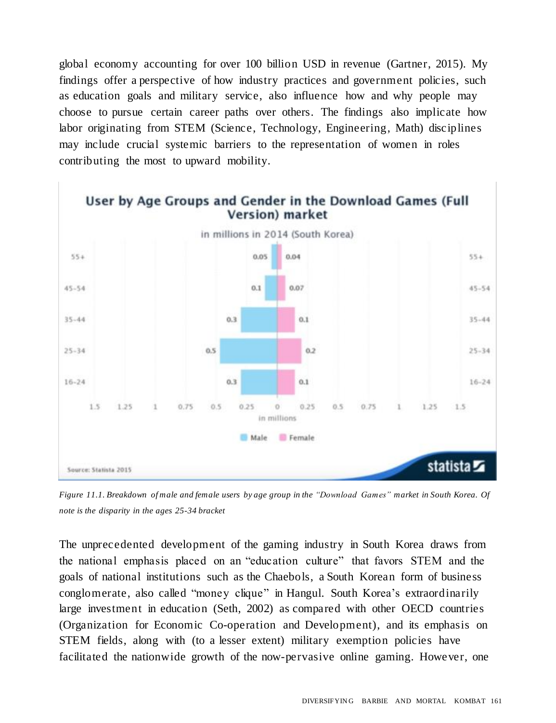global economy accounting for over 100 billion USD in revenue (Gartner, 2015). My findings offer a perspective of how industry practices and government policies, such as education goals and military service, also influence how and why people may choose to pursue certain career paths over others. The findings also implicate how labor originating from STEM (Science, Technology, Engineering, Math) disciplines may include crucial systemic barriers to the representation of women in roles contributing the most to upward mobility.



Figure 11.1. Breakdown of male and female users by age group in the "Download Games" market in South Korea. Of *note is the disparity in the ages 25-34 bracket*

The unprecedented development of the gaming industry in South Korea draws from the national emphasis placed on an "education culture" that favors STEM and the goals of national institutions such as the Chaebols, a South Korean form of business conglomerate, also called "money clique" in Hangul. South Korea's extraordinarily large investment in education (Seth, 2002) as compared with other OECD countries (Organization for Economic Co-operation and Development), and its emphasis on STEM fields, along with (to a lesser extent) military exemption policies have facilitated the nationwide growth of the now-pervasive online gaming. However, one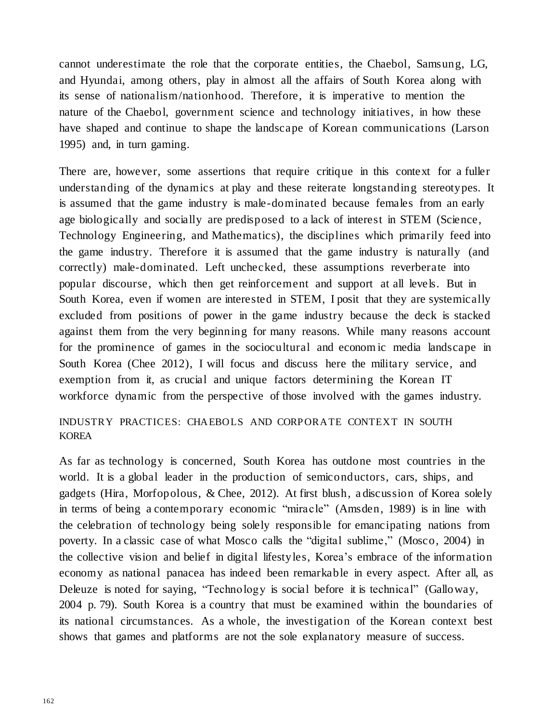cannot underestimate the role that the corporate entities, the Chaebol, Samsung, LG, and Hyundai, among others, play in almost all the affairs of South Korea along with its sense of nationalism/nationhood. Therefore, it is imperative to mention the nature of the Chaebol, government science and technology initiatives, in how these have shaped and continue to shape the landscape of Korean communications (Larson 1995) and, in turn gaming.

There are, however, some assertions that require critique in this context for a fuller understanding of the dynamics at play and these reiterate longstanding stereotypes. It is assumed that the game industry is male-dominated because females from an early age biologically and socially are predisposed to a lack of interest in STEM (Science, Technology Engineering, and Mathematics), the disciplines which primarily feed into the game industry. Therefore it is assumed that the game industry is naturally (and correctly) male-dominated. Left unchecked, these assumptions reverberate into popular discourse, which then get reinforcement and support at all levels. But in South Korea, even if women are interested in STEM, I posit that they are systemically excluded from positions of power in the game industry because the deck is stacked against them from the very beginning for many reasons. While many reasons account for the prominence of games in the sociocultural and econom ic media landscape in South Korea (Chee 2012), I will focus and discuss here the military service, and exemption from it, as crucial and unique factors determining the Korean IT workforce dynamic from the perspective of those involved with the games industry.

### INDUSTRY PRACTICES: CHAEBOLS AND CORPORATE CONTEXT IN SOUTH KOREA

As far as technology is concerned, South Korea has outdone most countries in the world. It is a global leader in the production of semiconductors, cars, ships, and gadgets (Hira, Morfopolous, & Chee, 2012). At first blush, a discussion of Korea solely in terms of being a contemporary economic "miracle" (Amsden, 1989) is in line with the celebration of technology being solely responsible for emancipating nations from poverty. In a classic case of what Mosco calls the "digital sublime," (Mosco, 2004) in the collective vision and belief in digital lifestyles, Korea's embrace of the information economy as national panacea has indeed been remarkable in every aspect. After all, as Deleuze is noted for saying, "Technology is social before it is technical" (Galloway, 2004 p. 79). South Korea is a country that must be examined within the boundaries of its national circumstances. As a whole, the investigation of the Korean context best shows that games and platforms are not the sole explanatory measure of success.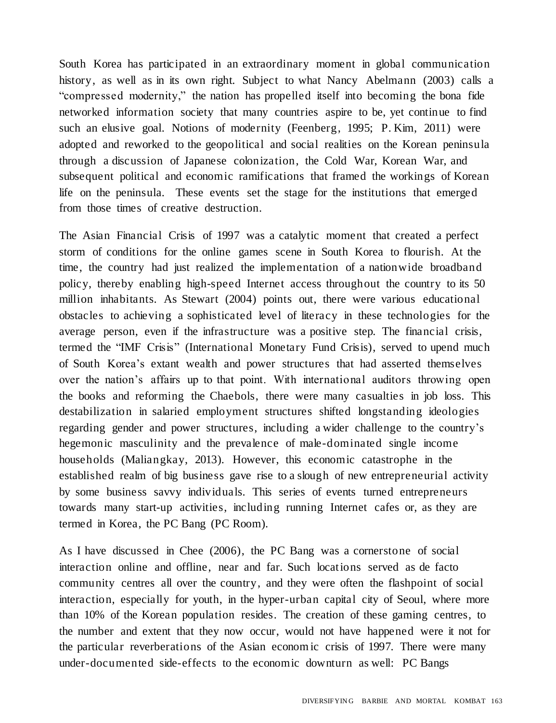South Korea has participated in an extraordinary moment in global communication history, as well as in its own right. Subject to what Nancy Abelmann (2003) calls a "compressed modernity," the nation has propelled itself into becoming the bona fide networked information society that many countries aspire to be, yet continue to find such an elusive goal. Notions of modernity (Feenberg, 1995; P. Kim, 2011) were adopted and reworked to the geopolitical and social realities on the Korean peninsula through a discussion of Japanese colonization, the Cold War, Korean War, and subsequent political and economic ramifications that framed the workings of Korean life on the peninsula. These events set the stage for the institutions that emerged from those times of creative destruction.

The Asian Financial Crisis of 1997 was a catalytic moment that created a perfect storm of conditions for the online games scene in South Korea to flourish. At the time, the country had just realized the implementation of a nationwide broadband policy, thereby enabling high-speed Internet access throughout the country to its 50 million inhabitants. As Stewart (2004) points out, there were various educational obstacles to achieving a sophisticated level of literacy in these technologies for the average person, even if the infrastructure was a positive step. The financial crisis, termed the "IMF Crisis" (International Monetary Fund Crisis), served to upend much of South Korea's extant wealth and power structures that had asserted themselves over the nation's affairs up to that point. With international auditors throwing open the books and reforming the Chaebols, there were many casualties in job loss. This destabilization in salaried employment structures shifted longstanding ideologies regarding gender and power structures, including a wider challenge to the country's hegemonic masculinity and the prevalence of male-dominated single income households (Maliangkay, 2013). However, this economic catastrophe in the established realm of big business gave rise to a slough of new entrepreneurial activity by some business savvy individuals. This series of events turned entrepreneurs towards many start-up activities, including running Internet cafes or, as they are termed in Korea, the PC Bang (PC Room).

As I have discussed in Chee (2006), the PC Bang was a cornerstone of social interaction online and offline, near and far. Such locations served as de facto community centres all over the country, and they were often the flashpoint of social interaction, especially for youth, in the hyper-urban capital city of Seoul, where more than 10% of the Korean population resides. The creation of these gaming centres, to the number and extent that they now occur, would not have happened were it not for the particular reverberations of the Asian econom ic crisis of 1997. There were many under-documented side-effects to the economic downturn as well: PC Bangs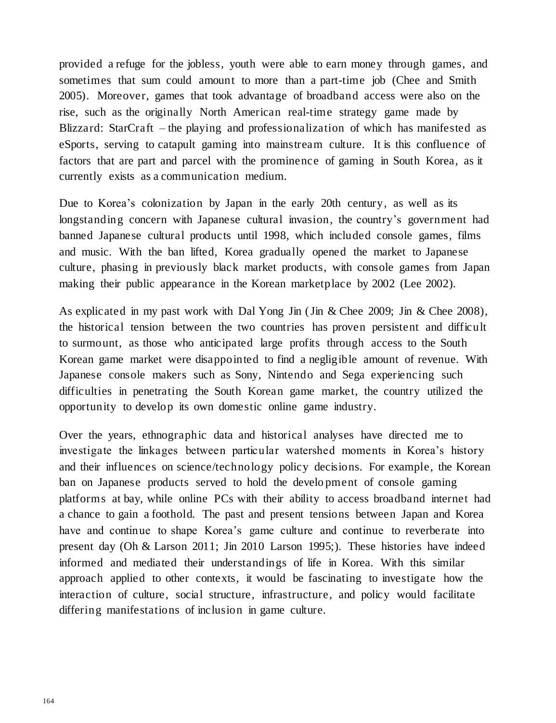provided a refuge for the jobless, youth were able to earn money through games, and sometimes that sum could amount to more than a part-time job (Chee and Smith 2005). Moreover, games that took advantage of broadband access were also on the rise, such as the originally North American real-time strategy game made by Blizzard: StarCraft – the playing and professionalization of which has manifested as eSports, serving to catapult gaming into mainstream culture. It is this confluence of factors that are part and parcel with the prominence of gaming in South Korea, as it currently exists as a communication medium.

Due to Korea's colonization by Japan in the early 20th century, as well as its longstanding concern with Japanese cultural invasion, the country's government had banned Japanese cultural products until 1998, which included console games, films and music. With the ban lifted, Korea gradually opened the market to Japanese culture, phasing in previously black market products, with console games from Japan making their public appearance in the Korean marketplace by 2002 (Lee 2002).

As explicated in my past work with Dal Yong Jin (Jin & Chee 2009; Jin & Chee 2008), the historical tension between the two countries has proven persistent and difficult to surmount, as those who anticipated large profits through access to the South Korean game market were disappointed to find a negligible amount of revenue. With Japanese console makers such as Sony, Nintendo and Sega experiencing such difficulties in penetrating the South Korean game market, the country utilized the opportunity to develop its own domestic online game industry.

Over the years, ethnographic data and historical analyses have directed me to investigate the linkages between particular watershed moments in Korea's history and their influences on science/technology policy decisions. For example, the Korean ban on Japanese products served to hold the develo pment of console gaming platforms at bay, while online PCs with their ability to access broadband internet had a chance to gain a foothold. The past and present tensions between Japan and Korea have and continue to shape Korea's game culture and continue to reverberate into present day (Oh & Larson 2011; Jin 2010 Larson 1995;). These histories have indeed informed and mediated their understandings of life in Korea. With this similar approach applied to other contexts, it would be fascinating to investigate how the interaction of culture, social structure, infrastructure, and policy would facilitate differing manifestations of inclusion in game culture.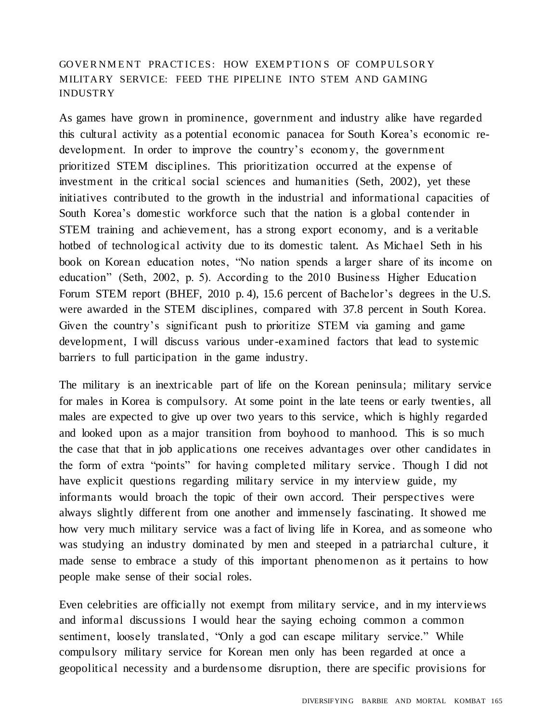## GOVER NMENT PRACTICES: HOW EXEMPTIONS OF COMPULSORY MILITARY SERVICE: FEED THE PIPELINE INTO STEM AND GAMING INDUSTRY

As games have grown in prominence, government and industry alike have regarded this cultural activity as a potential economic panacea for South Korea's economic redevelopment. In order to improve the country's econom y, the government prioritized STEM disciplines. This prioritization occurred at the expense of investment in the critical social sciences and humanities (Seth, 2002), yet these initiatives contributed to the growth in the industrial and informational capacities of South Korea's domestic workforce such that the nation is a global contender in STEM training and achievement, has a strong export economy, and is a veritable hotbed of technological activity due to its domestic talent. As Michael Seth in his book on Korean education notes, "No nation spends a larger share of its income on education" (Seth, 2002, p. 5). According to the 2010 Business Higher Education Forum STEM report (BHEF, 2010 p. 4), 15.6 percent of Bachelor's degrees in the U.S. were awarded in the STEM disciplines, compared with 37.8 percent in South Korea. Given the country's significant push to prioritize STEM via gaming and game development, I will discuss various under-examined factors that lead to systemic barriers to full participation in the game industry.

The military is an inextricable part of life on the Korean peninsula; military service for males in Korea is compulsory. At some point in the late teens or early twenties, all males are expected to give up over two years to this service, which is highly regarded and looked upon as a major transition from boyhood to manhood. This is so much the case that that in job applications one receives advantages over other candidates in the form of extra "points" for having completed military service . Though I did not have explicit questions regarding military service in my interview guide, my informants would broach the topic of their own accord. Their perspectives were always slightly different from one another and immensely fascinating. It showed me how very much military service was a fact of living life in Korea, and as someone who was studying an industry dominated by men and steeped in a patriarchal culture, it made sense to embrace a study of this important phenomenon as it pertains to how people make sense of their social roles.

Even celebrities are officially not exempt from military service, and in my interviews and informal discussions I would hear the saying echoing common a common sentiment, loosely translated, "Only a god can escape military service." While compulsory military service for Korean men only has been regarded at once a geopolitical necessity and a burdensome disruption, there are specific provisions for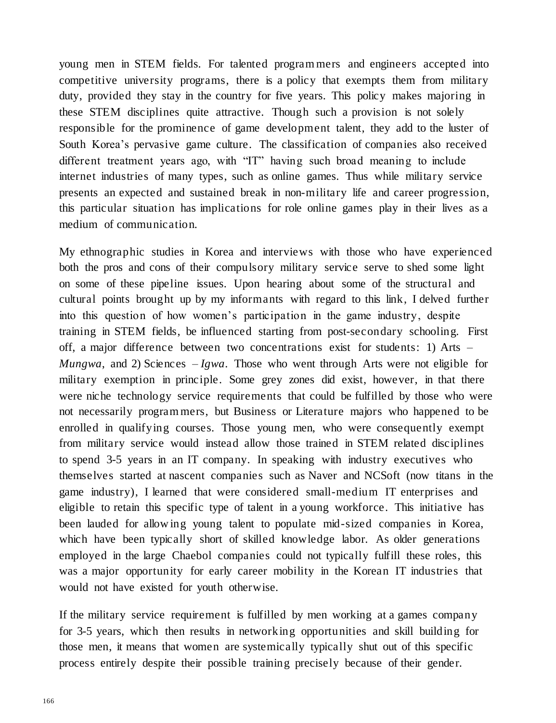young men in STEM fields. For talented program mers and engineers accepted into competitive university programs, there is a policy that exempts them from military duty, provided they stay in the country for five years. This policy makes majoring in these STEM disciplines quite attractive. Though such a provision is not solely responsible for the prominence of game development talent, they add to the luster of South Korea's pervasive game culture. The classification of companies also received different treatment years ago, with "IT" having such broad meaning to include internet industries of many types, such as online games. Thus while military service presents an expected and sustained break in non-military life and career progression, this particular situation has implications for role online games play in their lives as a medium of communication.

My ethnographic studies in Korea and interviews with those who have experienced both the pros and cons of their compulsory military service serve to shed some light on some of these pipeline issues. Upon hearing about some of the structural and cultural points brought up by my informants with regard to this link, I delved further into this question of how women's participation in the game industry, despite training in STEM fields, be influenced starting from post-secondary schooling. First off, a major difference between two concentrations exist for students: 1) Arts – *Mungwa*, and 2) Sciences – *Igwa*. Those who went through Arts were not eligible for military exemption in principle. Some grey zones did exist, however, in that there were niche technology service requirements that could be fulfilled by those who were not necessarily program mers, but Business or Literature majors who happened to be enrolled in qualifying courses. Those young men, who were consequently exempt from military service would instead allow those trained in STEM related disciplines to spend 3-5 years in an IT company. In speaking with industry executives who themselves started at nascent companies such as Naver and NCSoft (now titans in the game industry), I learned that were considered small-medium IT enterprises and eligible to retain this specific type of talent in a young workforce. This initiative has been lauded for allow ing young talent to populate mid-sized companies in Korea, which have been typically short of skilled knowledge labor. As older generations employed in the large Chaebol companies could not typically fulfill these roles, this was a major opportunity for early career mobility in the Korean IT industries that would not have existed for youth otherwise.

If the military service requirement is fulfilled by men working at a games company for 3-5 years, which then results in networking opportunities and skill building for those men, it means that women are systemically typically shut out of this specific process entirely despite their possible training precisely because of their gender.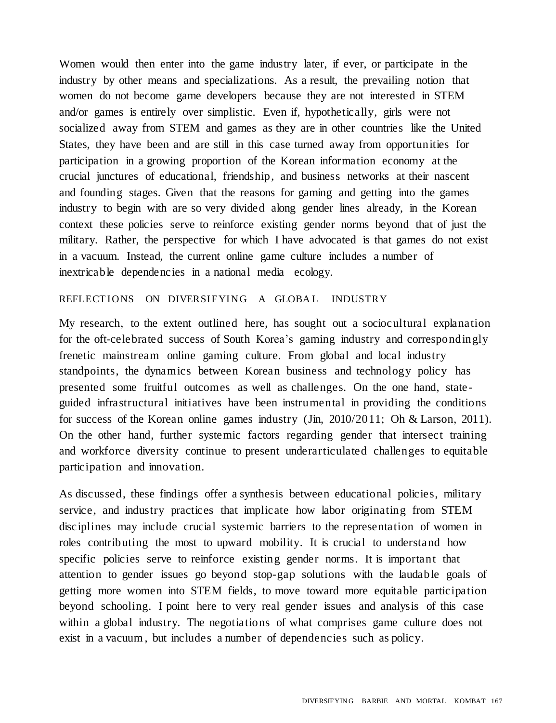Women would then enter into the game industry later, if ever, or participate in the industry by other means and specializations. As a result, the prevailing notion that women do not become game developers because they are not interested in STEM and/or games is entirely over simplistic. Even if, hypothetically, girls were not socialized away from STEM and games as they are in other countries like the United States, they have been and are still in this case turned away from opportunities for participation in a growing proportion of the Korean information economy at the crucial junctures of educational, friendship, and business networks at their nascent and founding stages. Given that the reasons for gaming and getting into the games industry to begin with are so very divided along gender lines already, in the Korean context these policies serve to reinforce existing gender norms beyond that of just the military. Rather, the perspective for which I have advocated is that games do not exist in a vacuum. Instead, the current online game culture includes a number of inextricable dependencies in a national media ecology.

#### REFLECTIONS ON DIVERSIFYING A GLOBAL INDUSTRY

My research, to the extent outlined here, has sought out a sociocultural explanation for the oft-celebrated success of South Korea's gaming industry and correspondingly frenetic mainstream online gaming culture. From global and local industry standpoints, the dynamics between Korean business and technology policy has presented some fruitful outcomes as well as challenges. On the one hand, stateguided infrastructural initiatives have been instrumental in providing the conditions for success of the Korean online games industry (Jin, 2010/2011; Oh & Larson, 2011). On the other hand, further systemic factors regarding gender that intersect training and workforce diversity continue to present underarticulated challenges to equitable participation and innovation.

As discussed, these findings offer a synthesis between educational policies, military service, and industry practices that implicate how labor originating from STEM disciplines may include crucial systemic barriers to the representation of women in roles contributing the most to upward mobility. It is crucial to understand how specific policies serve to reinforce existing gender norms. It is important that attention to gender issues go beyond stop-gap solutions with the laudable goals of getting more women into STEM fields, to move toward more equitable participation beyond schooling. I point here to very real gender issues and analysis of this case within a global industry. The negotiations of what comprises game culture does not exist in a vacuum , but includes a number of dependencies such as policy.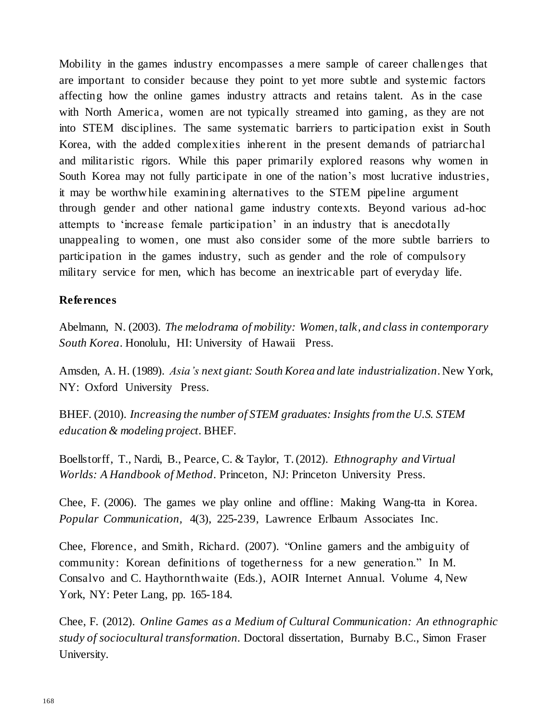Mobility in the games industry encompasses a mere sample of career challenges that are important to consider because they point to yet more subtle and systemic factors affecting how the online games industry attracts and retains talent. As in the case with North America, women are not typically streamed into gaming, as they are not into STEM disciplines. The same systematic barriers to participation exist in South Korea, with the added complexities inherent in the present demands of patriarchal and militaristic rigors. While this paper primarily explored reasons why women in South Korea may not fully participate in one of the nation's most lucrative industries, it may be worthw hile examining alternatives to the STEM pipeline argument through gender and other national game industry contexts. Beyond various ad-hoc attempts to 'increase female participation' in an industry that is anecdotally unappealing to women, one must also consider some of the more subtle barriers to participation in the games industry, such as gender and the role of compulsory military service for men, which has become an inextricable part of everyday life.

#### **References**

Abelmann, N. (2003). *The melodrama of mobility: Women, talk, and class in contemporary South Korea*. Honolulu, HI: University of Hawaii Press.

Amsden, A. H. (1989). *Asia's next giant: South Korea and late industrialization*. New York, NY: Oxford University Press.

BHEF. (2010). *Increasing the number of STEM graduates: Insights from the U.S. STEM education & modeling project*. BHEF.

Boellstorff, T., Nardi, B., Pearce, C. & Taylor, T.(2012). *Ethnography and Virtual Worlds: A Handbook of Method*. Princeton, NJ: Princeton University Press.

Chee, F. (2006). The games we play online and offline: Making Wang-tta in Korea*. Popular Communication,* 4(3), 225-239, Lawrence Erlbaum Associates Inc.

Chee, Florence, and Smith, Richard. (2007). "Online gamers and the ambiguity of community: Korean definitions of togetherness for a new generation." In M. Consalvo and C. Haythornthwaite (Eds.), AOIR Internet Annual. Volume 4, New York, NY: Peter Lang, pp. 165-184.

Chee, F. (2012). *Online Games as a Medium of Cultural Communication: An ethnographic study of sociocultural transformation.* Doctoral dissertation, Burnaby B.C., Simon Fraser University.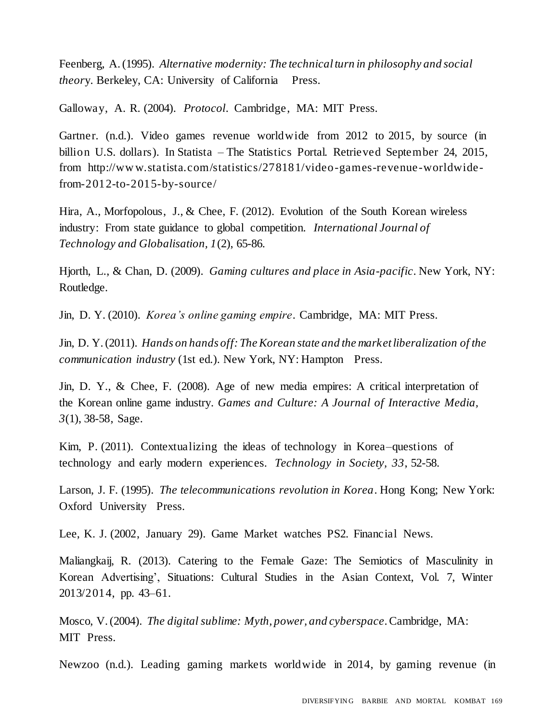Feenberg, A.(1995). *Alternative modernity: The technicalturn in philosophy and social theory*. Berkeley, CA: University of California Press.

Galloway, A. R. (2004). *Protocol*. Cambridge, MA: MIT Press.

Gartner. (n.d.). Video games revenue worldwide from 2012 to 2015, by source (in billion U.S. dollars). In Statista – The Statistics Portal. Retrieved September 24, 2015, from [http://ww w.statista.com/statistics/278181/video-games-revenue-worldwide](http://www.statista.com/statistics/278181/video-games-revenue-worldwide-)from-2012-to-2015-by-source/

Hira, A., Morfopolous, J., & Chee, F. (2012). Evolution of the South Korean wireless industry: From state guidance to global competition. *International Journal of Technology and Globalisation, 1*(2), 65-86.

Hjorth, L., & Chan, D. (2009). *Gaming cultures and place in Asia-pacific*. New York, NY: Routledge.

Jin, D. Y. (2010). *Korea's online gaming empire*. Cambridge, MA: MIT Press.

Jin, D. Y.(2011). *Hands on hands off: TheKorean state and the marketliberalization of the communication industry* (1st ed.). New York, NY: Hampton Press.

Jin, D. Y., & Chee, F. (2008). Age of new media empires: A critical interpretation of the Korean online game industry. *Games and Culture: A Journal of Interactive Media, 3*(1), 38-58, Sage.

Kim, P. (2011). Contextualizing the ideas of technology in Korea–questions of technology and early modern experiences. *Technology in Society, 33*, 52-58.

Larson, J. F. (1995). *The telecommunications revolution in Korea*. Hong Kong; New York: Oxford University Press.

Lee, K. J. (2002, January 29). Game Market watches PS2. Financial News.

Maliangkaij, R. (2013). Catering to the Female Gaze: The Semiotics of Masculinity in Korean Advertising', Situations: Cultural Studies in the Asian Context, Vol. 7, Winter 2013/2014, pp. 43–61.

Mosco, V.(2004). *The digital sublime: Myth, power, and cyberspace*.Cambridge, MA: MIT Press.

Newzoo (n.d.). Leading gaming markets worldwide in 2014, by gaming revenue (in